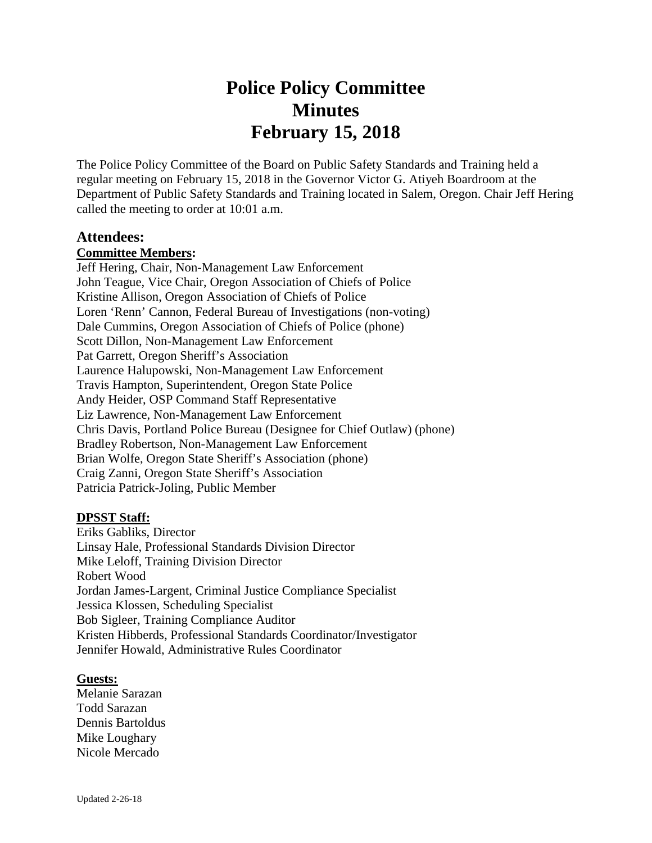# **Police Policy Committee Minutes February 15, 2018**

The Police Policy Committee of the Board on Public Safety Standards and Training held a regular meeting on February 15, 2018 in the Governor Victor G. Atiyeh Boardroom at the Department of Public Safety Standards and Training located in Salem, Oregon. Chair Jeff Hering called the meeting to order at 10:01 a.m.

#### **Attendees:**

#### **Committee Members:**

Jeff Hering, Chair, Non-Management Law Enforcement John Teague, Vice Chair, Oregon Association of Chiefs of Police Kristine Allison, Oregon Association of Chiefs of Police Loren 'Renn' Cannon, Federal Bureau of Investigations (non-voting) Dale Cummins, Oregon Association of Chiefs of Police (phone) Scott Dillon, Non-Management Law Enforcement Pat Garrett, Oregon Sheriff's Association Laurence Halupowski, Non-Management Law Enforcement Travis Hampton, Superintendent, Oregon State Police Andy Heider, OSP Command Staff Representative Liz Lawrence, Non-Management Law Enforcement Chris Davis, Portland Police Bureau (Designee for Chief Outlaw) (phone) Bradley Robertson, Non-Management Law Enforcement Brian Wolfe, Oregon State Sheriff's Association (phone) Craig Zanni, Oregon State Sheriff's Association Patricia Patrick-Joling, Public Member

#### **DPSST Staff:**

Eriks Gabliks, Director Linsay Hale, Professional Standards Division Director Mike Leloff, Training Division Director Robert Wood Jordan James-Largent, Criminal Justice Compliance Specialist Jessica Klossen, Scheduling Specialist Bob Sigleer, Training Compliance Auditor Kristen Hibberds, Professional Standards Coordinator/Investigator Jennifer Howald, Administrative Rules Coordinator

#### **Guests:**

Melanie Sarazan Todd Sarazan Dennis Bartoldus Mike Loughary Nicole Mercado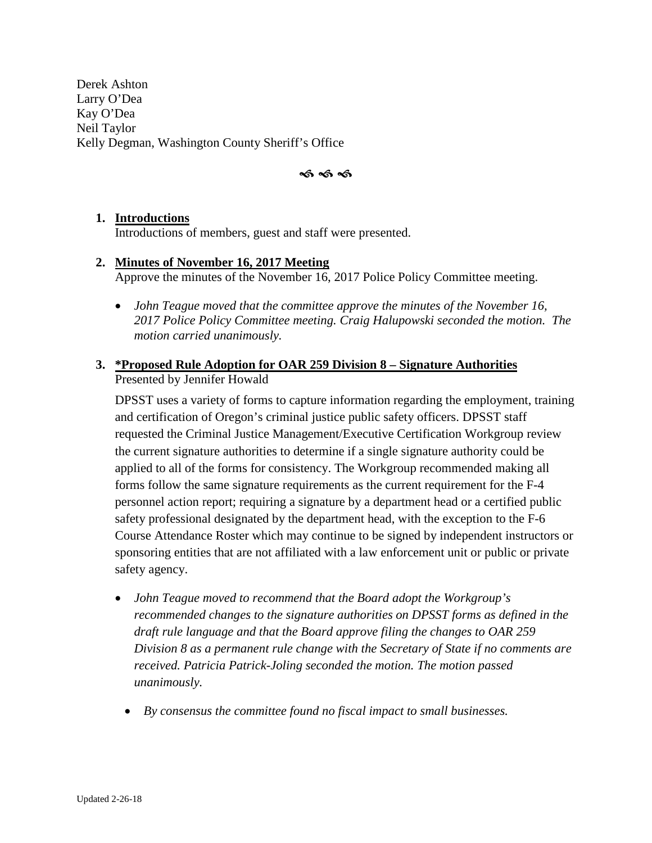Derek Ashton Larry O'Dea Kay O'Dea Neil Taylor Kelly Degman, Washington County Sheriff's Office

ৰ্ক ৰ্ক ৰ্ক

#### **1. Introductions**

Introductions of members, guest and staff were presented.

#### **2. Minutes of November 16, 2017 Meeting** Approve the minutes of the November 16, 2017 Police Policy Committee meeting.

• *John Teague moved that the committee approve the minutes of the November 16, 2017 Police Policy Committee meeting. Craig Halupowski seconded the motion. The motion carried unanimously.*

#### **3. \*Proposed Rule Adoption for OAR 259 Division 8 – Signature Authorities**  Presented by Jennifer Howald

DPSST uses a variety of forms to capture information regarding the employment, training and certification of Oregon's criminal justice public safety officers. DPSST staff requested the Criminal Justice Management/Executive Certification Workgroup review the current signature authorities to determine if a single signature authority could be applied to all of the forms for consistency. The Workgroup recommended making all forms follow the same signature requirements as the current requirement for the F-4 personnel action report; requiring a signature by a department head or a certified public safety professional designated by the department head, with the exception to the F-6 Course Attendance Roster which may continue to be signed by independent instructors or sponsoring entities that are not affiliated with a law enforcement unit or public or private safety agency.

- *John Teague moved to recommend that the Board adopt the Workgroup's recommended changes to the signature authorities on DPSST forms as defined in the draft rule language and that the Board approve filing the changes to OAR 259 Division 8 as a permanent rule change with the Secretary of State if no comments are received. Patricia Patrick-Joling seconded the motion. The motion passed unanimously.* 
	- *By consensus the committee found no fiscal impact to small businesses.*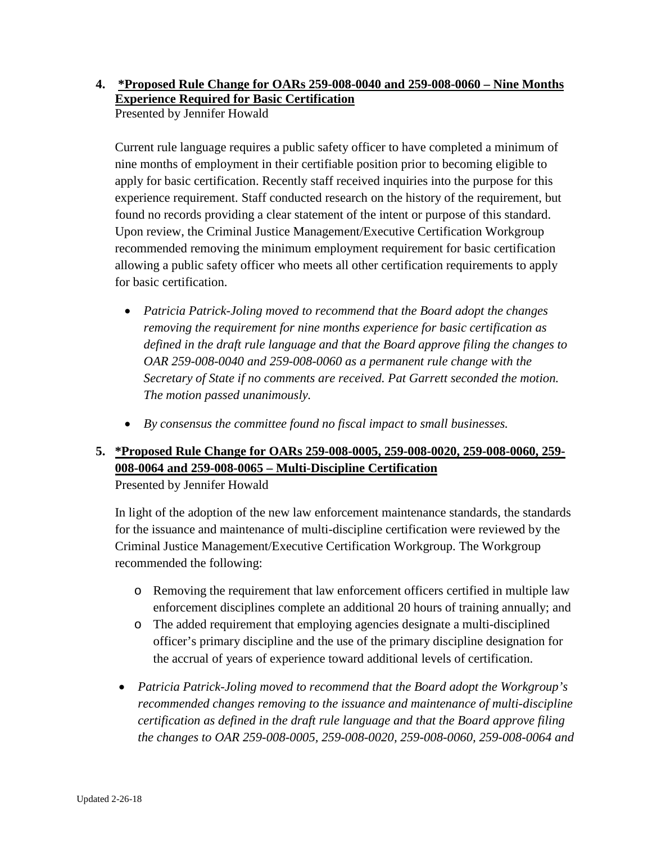#### **4. \*Proposed Rule Change for OARs 259-008-0040 and 259-008-0060 – Nine Months Experience Required for Basic Certification**  Presented by Jennifer Howald

Current rule language requires a public safety officer to have completed a minimum of nine months of employment in their certifiable position prior to becoming eligible to apply for basic certification. Recently staff received inquiries into the purpose for this experience requirement. Staff conducted research on the history of the requirement, but found no records providing a clear statement of the intent or purpose of this standard. Upon review, the Criminal Justice Management/Executive Certification Workgroup recommended removing the minimum employment requirement for basic certification allowing a public safety officer who meets all other certification requirements to apply for basic certification.

- *Patricia Patrick-Joling moved to recommend that the Board adopt the changes removing the requirement for nine months experience for basic certification as defined in the draft rule language and that the Board approve filing the changes to OAR 259-008-0040 and 259-008-0060 as a permanent rule change with the Secretary of State if no comments are received. Pat Garrett seconded the motion. The motion passed unanimously.*
- *By consensus the committee found no fiscal impact to small businesses.*

# **5. \*Proposed Rule Change for OARs 259-008-0005, 259-008-0020, 259-008-0060, 259- 008-0064 and 259-008-0065 – Multi-Discipline Certification**

Presented by Jennifer Howald

In light of the adoption of the new law enforcement maintenance standards, the standards for the issuance and maintenance of multi-discipline certification were reviewed by the Criminal Justice Management/Executive Certification Workgroup. The Workgroup recommended the following:

- o Removing the requirement that law enforcement officers certified in multiple law enforcement disciplines complete an additional 20 hours of training annually; and
- o The added requirement that employing agencies designate a multi-disciplined officer's primary discipline and the use of the primary discipline designation for the accrual of years of experience toward additional levels of certification.
- *Patricia Patrick-Joling moved to recommend that the Board adopt the Workgroup's recommended changes removing to the issuance and maintenance of multi-discipline certification as defined in the draft rule language and that the Board approve filing the changes to OAR 259-008-0005, 259-008-0020, 259-008-0060, 259-008-0064 and*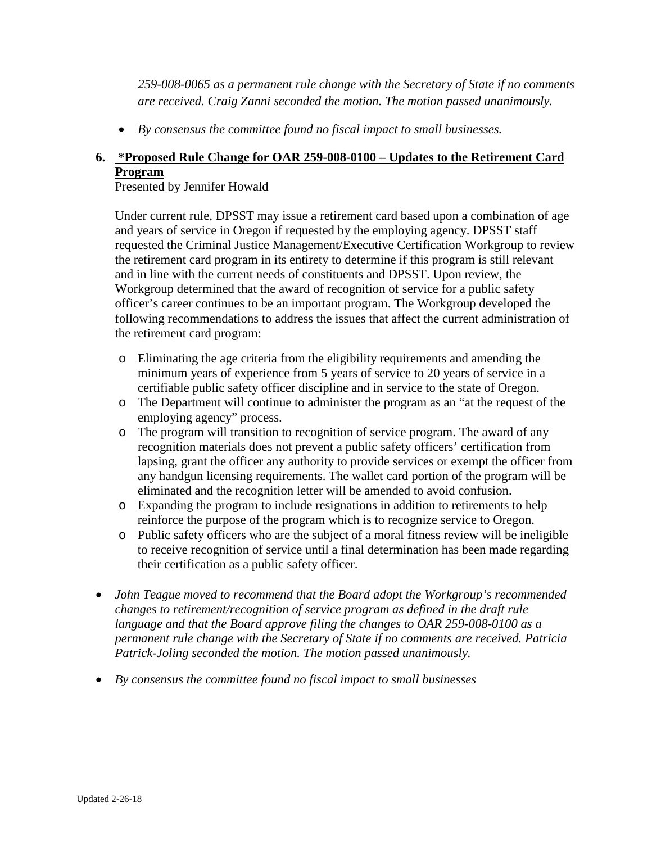*259-008-0065 as a permanent rule change with the Secretary of State if no comments are received. Craig Zanni seconded the motion. The motion passed unanimously.* 

• *By consensus the committee found no fiscal impact to small businesses.* 

# **6. \*Proposed Rule Change for OAR 259-008-0100 – Updates to the Retirement Card Program**

Presented by Jennifer Howald

Under current rule, DPSST may issue a retirement card based upon a combination of age and years of service in Oregon if requested by the employing agency. DPSST staff requested the Criminal Justice Management/Executive Certification Workgroup to review the retirement card program in its entirety to determine if this program is still relevant and in line with the current needs of constituents and DPSST. Upon review, the Workgroup determined that the award of recognition of service for a public safety officer's career continues to be an important program. The Workgroup developed the following recommendations to address the issues that affect the current administration of the retirement card program:

- o Eliminating the age criteria from the eligibility requirements and amending the minimum years of experience from 5 years of service to 20 years of service in a certifiable public safety officer discipline and in service to the state of Oregon.
- o The Department will continue to administer the program as an "at the request of the employing agency" process.
- o The program will transition to recognition of service program. The award of any recognition materials does not prevent a public safety officers' certification from lapsing, grant the officer any authority to provide services or exempt the officer from any handgun licensing requirements. The wallet card portion of the program will be eliminated and the recognition letter will be amended to avoid confusion.
- o Expanding the program to include resignations in addition to retirements to help reinforce the purpose of the program which is to recognize service to Oregon.
- o Public safety officers who are the subject of a moral fitness review will be ineligible to receive recognition of service until a final determination has been made regarding their certification as a public safety officer.
- *John Teague moved to recommend that the Board adopt the Workgroup's recommended changes to retirement/recognition of service program as defined in the draft rule language and that the Board approve filing the changes to OAR 259-008-0100 as a permanent rule change with the Secretary of State if no comments are received. Patricia Patrick-Joling seconded the motion. The motion passed unanimously.*
- *By consensus the committee found no fiscal impact to small businesses*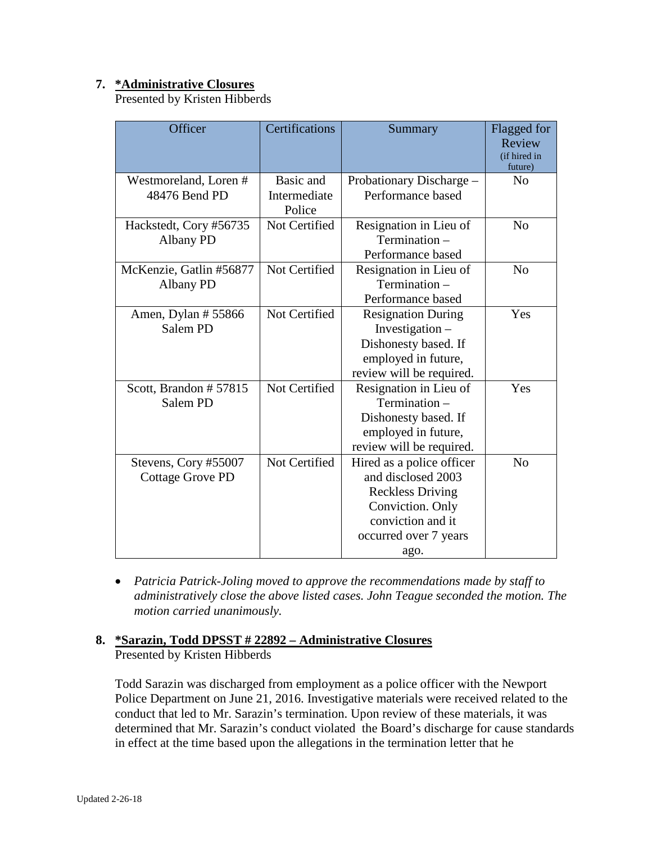## **7. \*Administrative Closures**

Presented by Kristen Hibberds

| Officer                                         | Certifications                      | Summary                                                                                                                                              | Flagged for<br>Review<br>(if hired in<br>future) |
|-------------------------------------------------|-------------------------------------|------------------------------------------------------------------------------------------------------------------------------------------------------|--------------------------------------------------|
| Westmoreland, Loren #<br>48476 Bend PD          | Basic and<br>Intermediate<br>Police | Probationary Discharge -<br>Performance based                                                                                                        | N <sub>0</sub>                                   |
| Hackstedt, Cory #56735<br>Albany PD             | Not Certified                       | Resignation in Lieu of<br>Termination-<br>Performance based                                                                                          | N <sub>0</sub>                                   |
| McKenzie, Gatlin #56877<br>Albany PD            | Not Certified                       | Resignation in Lieu of<br>Termination -<br>Performance based                                                                                         | N <sub>0</sub>                                   |
| Amen, Dylan #55866<br>Salem PD                  | Not Certified                       | <b>Resignation During</b><br>Investigation -<br>Dishonesty based. If<br>employed in future,<br>review will be required.                              | Yes                                              |
| Scott, Brandon #57815<br>Salem PD               | Not Certified                       | Resignation in Lieu of<br>Termination -<br>Dishonesty based. If<br>employed in future,<br>review will be required.                                   | Yes                                              |
| Stevens, Cory #55007<br><b>Cottage Grove PD</b> | Not Certified                       | Hired as a police officer<br>and disclosed 2003<br><b>Reckless Driving</b><br>Conviction. Only<br>conviction and it<br>occurred over 7 years<br>ago. | N <sub>0</sub>                                   |

• *Patricia Patrick-Joling moved to approve the recommendations made by staff to administratively close the above listed cases. John Teague seconded the motion. The motion carried unanimously.* 

#### **8. \*Sarazin, Todd DPSST # 22892 – Administrative Closures** Presented by Kristen Hibberds

Todd Sarazin was discharged from employment as a police officer with the Newport Police Department on June 21, 2016. Investigative materials were received related to the conduct that led to Mr. Sarazin's termination. Upon review of these materials, it was determined that Mr. Sarazin's conduct violated the Board's discharge for cause standards in effect at the time based upon the allegations in the termination letter that he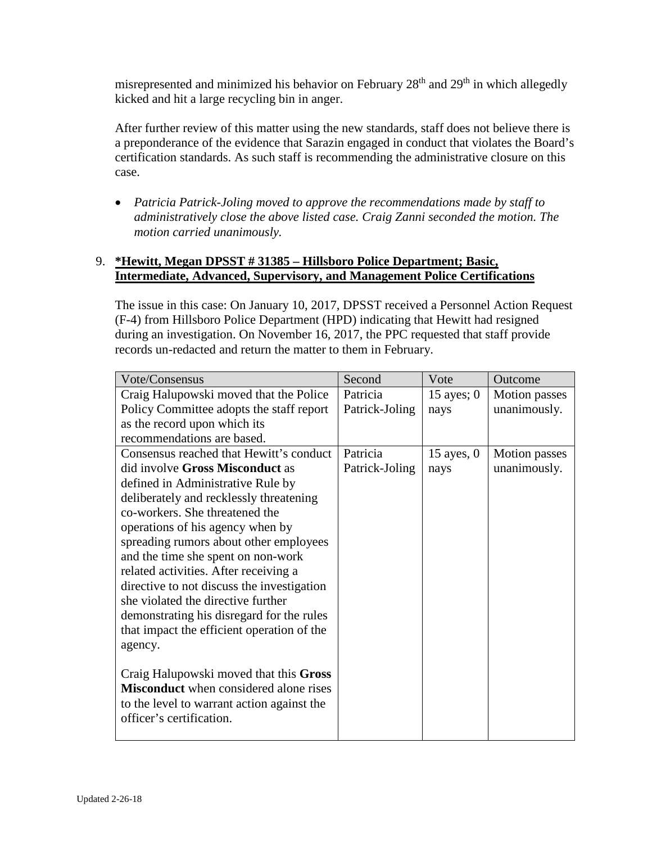misrepresented and minimized his behavior on February  $28<sup>th</sup>$  and  $29<sup>th</sup>$  in which allegedly kicked and hit a large recycling bin in anger.

After further review of this matter using the new standards, staff does not believe there is a preponderance of the evidence that Sarazin engaged in conduct that violates the Board's certification standards. As such staff is recommending the administrative closure on this case.

• *Patricia Patrick-Joling moved to approve the recommendations made by staff to administratively close the above listed case. Craig Zanni seconded the motion. The motion carried unanimously.* 

## 9. **\*Hewitt, Megan DPSST # 31385 – Hillsboro Police Department; Basic, Intermediate, Advanced, Supervisory, and Management Police Certifications**

The issue in this case: On January 10, 2017, DPSST received a Personnel Action Request (F-4) from Hillsboro Police Department (HPD) indicating that Hewitt had resigned during an investigation. On November 16, 2017, the PPC requested that staff provide records un-redacted and return the matter to them in February.

| Vote/Consensus                                | Second         | Vote         | Outcome              |
|-----------------------------------------------|----------------|--------------|----------------------|
| Craig Halupowski moved that the Police        | Patricia       | 15 ayes; $0$ | <b>Motion</b> passes |
| Policy Committee adopts the staff report      | Patrick-Joling | nays         | unanimously.         |
| as the record upon which its                  |                |              |                      |
| recommendations are based.                    |                |              |                      |
| Consensus reached that Hewitt's conduct       | Patricia       | $15$ ayes, 0 | Motion passes        |
| did involve Gross Misconduct as               | Patrick-Joling | nays         | unanimously.         |
| defined in Administrative Rule by             |                |              |                      |
| deliberately and recklessly threatening       |                |              |                      |
| co-workers. She threatened the                |                |              |                      |
| operations of his agency when by              |                |              |                      |
| spreading rumors about other employees        |                |              |                      |
| and the time she spent on non-work            |                |              |                      |
| related activities. After receiving a         |                |              |                      |
| directive to not discuss the investigation    |                |              |                      |
| she violated the directive further            |                |              |                      |
| demonstrating his disregard for the rules     |                |              |                      |
| that impact the efficient operation of the    |                |              |                      |
| agency.                                       |                |              |                      |
|                                               |                |              |                      |
| Craig Halupowski moved that this Gross        |                |              |                      |
| <b>Misconduct</b> when considered alone rises |                |              |                      |
| to the level to warrant action against the    |                |              |                      |
| officer's certification.                      |                |              |                      |
|                                               |                |              |                      |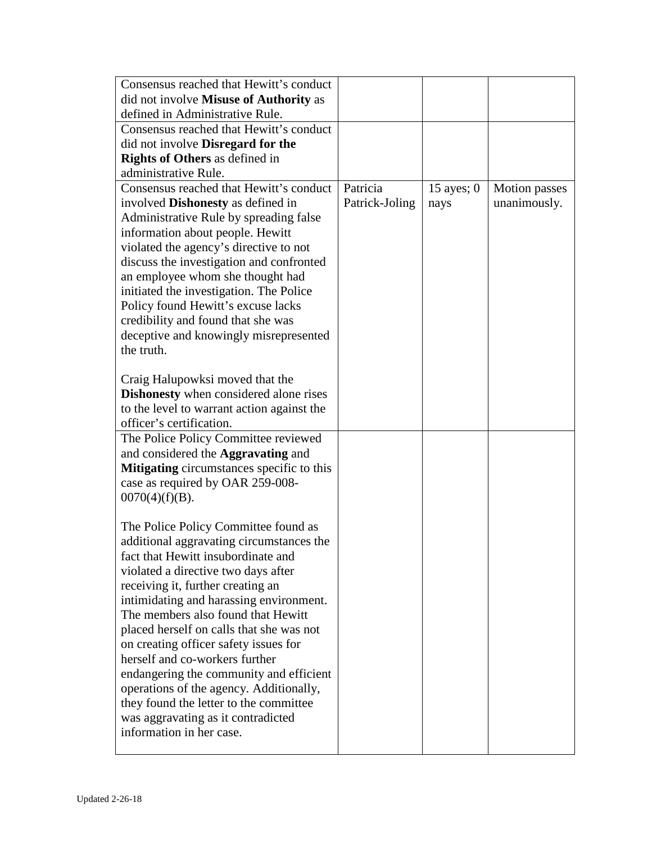| Consensus reached that Hewitt's conduct                                       |                |              |                      |
|-------------------------------------------------------------------------------|----------------|--------------|----------------------|
| did not involve Misuse of Authority as                                        |                |              |                      |
| defined in Administrative Rule.                                               |                |              |                      |
| Consensus reached that Hewitt's conduct                                       |                |              |                      |
| did not involve <b>Disregard</b> for the                                      |                |              |                      |
| <b>Rights of Others</b> as defined in                                         |                |              |                      |
| administrative Rule.                                                          |                |              |                      |
| Consensus reached that Hewitt's conduct                                       | Patricia       | 15 ayes; $0$ | <b>Motion</b> passes |
| involved <b>Dishonesty</b> as defined in                                      | Patrick-Joling | nays         | unanimously.         |
| Administrative Rule by spreading false                                        |                |              |                      |
| information about people. Hewitt                                              |                |              |                      |
| violated the agency's directive to not                                        |                |              |                      |
| discuss the investigation and confronted                                      |                |              |                      |
| an employee whom she thought had<br>initiated the investigation. The Police   |                |              |                      |
| Policy found Hewitt's excuse lacks                                            |                |              |                      |
| credibility and found that she was                                            |                |              |                      |
| deceptive and knowingly misrepresented                                        |                |              |                      |
| the truth.                                                                    |                |              |                      |
|                                                                               |                |              |                      |
| Craig Halupowksi moved that the                                               |                |              |                      |
| <b>Dishonesty</b> when considered alone rises                                 |                |              |                      |
| to the level to warrant action against the                                    |                |              |                      |
| officer's certification.                                                      |                |              |                      |
| The Police Policy Committee reviewed                                          |                |              |                      |
| and considered the <b>Aggravating</b> and                                     |                |              |                      |
| <b>Mitigating</b> circumstances specific to this                              |                |              |                      |
| case as required by OAR 259-008-                                              |                |              |                      |
| $0070(4)(f)(B)$ .                                                             |                |              |                      |
|                                                                               |                |              |                      |
| The Police Policy Committee found as                                          |                |              |                      |
| additional aggravating circumstances the                                      |                |              |                      |
| fact that Hewitt insubordinate and                                            |                |              |                      |
| violated a directive two days after                                           |                |              |                      |
| receiving it, further creating an                                             |                |              |                      |
| intimidating and harassing environment.<br>The members also found that Hewitt |                |              |                      |
| placed herself on calls that she was not                                      |                |              |                      |
| on creating officer safety issues for                                         |                |              |                      |
| herself and co-workers further                                                |                |              |                      |
| endangering the community and efficient                                       |                |              |                      |
| operations of the agency. Additionally,                                       |                |              |                      |
| they found the letter to the committee                                        |                |              |                      |
| was aggravating as it contradicted                                            |                |              |                      |
| information in her case.                                                      |                |              |                      |
|                                                                               |                |              |                      |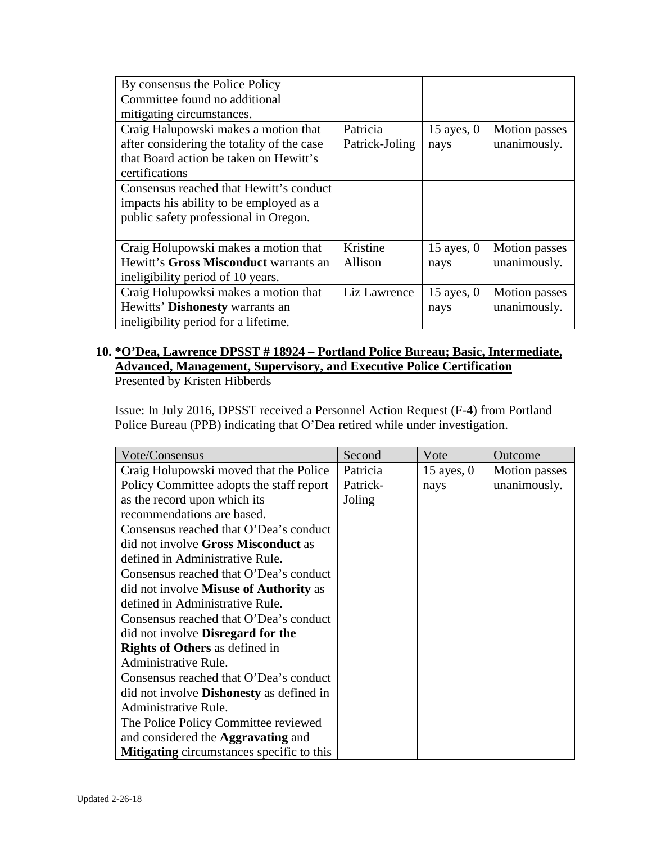| By consensus the Police Policy             |                |              |                      |
|--------------------------------------------|----------------|--------------|----------------------|
| Committee found no additional              |                |              |                      |
| mitigating circumstances.                  |                |              |                      |
| Craig Halupowski makes a motion that       | Patricia       | 15 ayes, $0$ | <b>Motion</b> passes |
| after considering the totality of the case | Patrick-Joling | nays         | unanimously.         |
| that Board action be taken on Hewitt's     |                |              |                      |
| certifications                             |                |              |                      |
| Consensus reached that Hewitt's conduct    |                |              |                      |
| impacts his ability to be employed as a    |                |              |                      |
| public safety professional in Oregon.      |                |              |                      |
|                                            |                |              |                      |
| Craig Holupowski makes a motion that       | Kristine       | 15 ayes, $0$ | <b>Motion</b> passes |
| Hewitt's Gross Misconduct warrants an      | Allison        | nays         | unanimously.         |
| ineligibility period of 10 years.          |                |              |                      |
| Craig Holupowksi makes a motion that       | Liz Lawrence   | $15$ ayes, 0 | <b>Motion</b> passes |
| Hewitts' Dishonesty warrants an            |                | nays         | unanimously.         |
| ineligibility period for a lifetime.       |                |              |                      |

#### **10. \*O'Dea, Lawrence DPSST # 18924 – Portland Police Bureau; Basic, Intermediate, Advanced, Management, Supervisory, and Executive Police Certification** Presented by Kristen Hibberds

Issue: In July 2016, DPSST received a Personnel Action Request (F-4) from Portland Police Bureau (PPB) indicating that O'Dea retired while under investigation.

| Vote/Consensus                                   | Second   | Vote         | Outcome              |
|--------------------------------------------------|----------|--------------|----------------------|
| Craig Holupowski moved that the Police           | Patricia | 15 ayes, $0$ | <b>Motion</b> passes |
| Policy Committee adopts the staff report         | Patrick- | nays         | unanimously.         |
| as the record upon which its                     | Joling   |              |                      |
| recommendations are based.                       |          |              |                      |
| Consensus reached that O'Dea's conduct           |          |              |                      |
| did not involve Gross Misconduct as              |          |              |                      |
| defined in Administrative Rule.                  |          |              |                      |
| Consensus reached that O'Dea's conduct           |          |              |                      |
| did not involve <b>Misuse of Authority</b> as    |          |              |                      |
| defined in Administrative Rule.                  |          |              |                      |
| Consensus reached that O'Dea's conduct           |          |              |                      |
| did not involve <b>Disregard</b> for the         |          |              |                      |
| <b>Rights of Others</b> as defined in            |          |              |                      |
| Administrative Rule.                             |          |              |                      |
| Consensus reached that O'Dea's conduct           |          |              |                      |
| did not involve <b>Dishonesty</b> as defined in  |          |              |                      |
| Administrative Rule.                             |          |              |                      |
| The Police Policy Committee reviewed             |          |              |                      |
| and considered the <b>Aggravating</b> and        |          |              |                      |
| <b>Mitigating</b> circumstances specific to this |          |              |                      |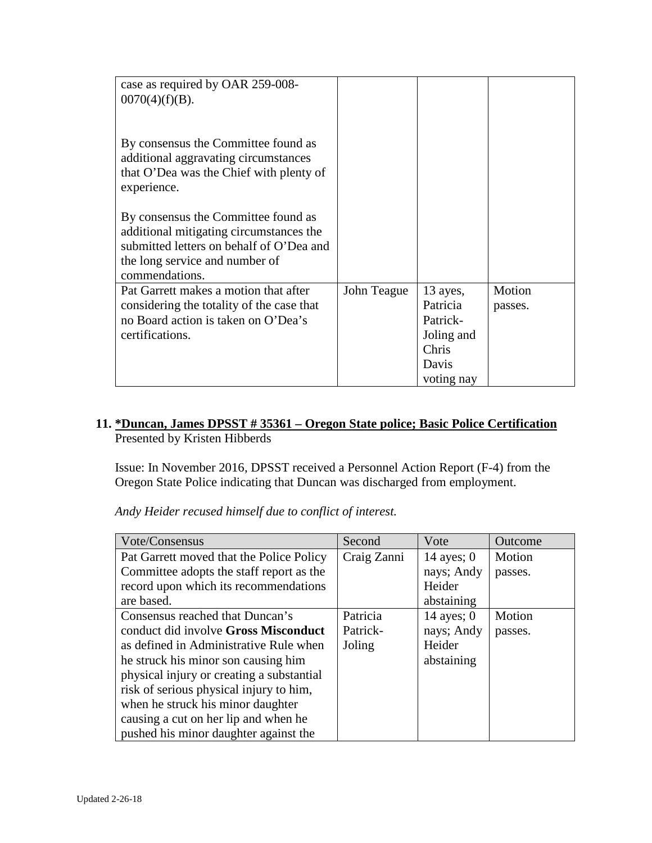| case as required by OAR 259-008-<br>$0070(4)(f)(B)$ .                                                                                                                          |             |                                                                                |                   |
|--------------------------------------------------------------------------------------------------------------------------------------------------------------------------------|-------------|--------------------------------------------------------------------------------|-------------------|
| By consensus the Committee found as<br>additional aggravating circumstances<br>that O'Dea was the Chief with plenty of<br>experience.                                          |             |                                                                                |                   |
| By consensus the Committee found as<br>additional mitigating circumstances the<br>submitted letters on behalf of O'Dea and<br>the long service and number of<br>commendations. |             |                                                                                |                   |
| Pat Garrett makes a motion that after<br>considering the totality of the case that<br>no Board action is taken on O'Dea's<br>certifications.                                   | John Teague | 13 ayes,<br>Patricia<br>Patrick-<br>Joling and<br>Chris<br>Davis<br>voting nay | Motion<br>passes. |

## **11. \*Duncan, James DPSST # 35361 – Oregon State police; Basic Police Certification** Presented by Kristen Hibberds

Issue: In November 2016, DPSST received a Personnel Action Report (F-4) from the Oregon State Police indicating that Duncan was discharged from employment.

*Andy Heider recused himself due to conflict of interest.* 

| Vote/Consensus                            | Second      | Vote         | Outcome |
|-------------------------------------------|-------------|--------------|---------|
| Pat Garrett moved that the Police Policy  | Craig Zanni | 14 ayes; $0$ | Motion  |
| Committee adopts the staff report as the  |             | nays; Andy   | passes. |
| record upon which its recommendations     |             | Heider       |         |
| are based.                                |             | abstaining   |         |
| Consensus reached that Duncan's           | Patricia    | 14 ayes; $0$ | Motion  |
| conduct did involve Gross Misconduct      | Patrick-    | nays; Andy   | passes. |
| as defined in Administrative Rule when    | Joling      | Heider       |         |
| he struck his minor son causing him       |             | abstaining   |         |
| physical injury or creating a substantial |             |              |         |
| risk of serious physical injury to him,   |             |              |         |
| when he struck his minor daughter         |             |              |         |
| causing a cut on her lip and when he      |             |              |         |
| pushed his minor daughter against the     |             |              |         |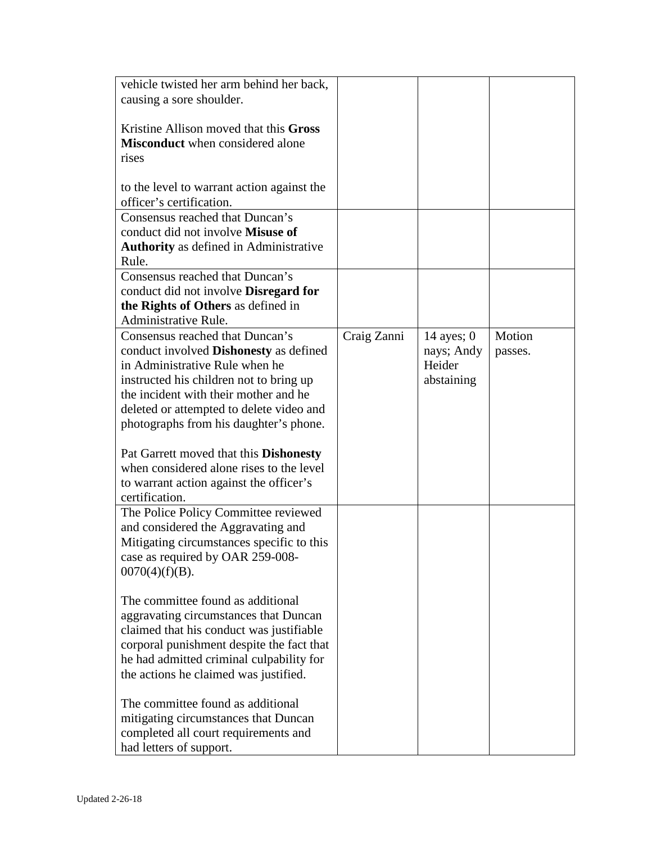| vehicle twisted her arm behind her back,      |             |              |         |
|-----------------------------------------------|-------------|--------------|---------|
| causing a sore shoulder.                      |             |              |         |
|                                               |             |              |         |
| Kristine Allison moved that this Gross        |             |              |         |
| <b>Misconduct</b> when considered alone       |             |              |         |
| rises                                         |             |              |         |
|                                               |             |              |         |
| to the level to warrant action against the    |             |              |         |
| officer's certification.                      |             |              |         |
| Consensus reached that Duncan's               |             |              |         |
| conduct did not involve Misuse of             |             |              |         |
| <b>Authority</b> as defined in Administrative |             |              |         |
| Rule.                                         |             |              |         |
| Consensus reached that Duncan's               |             |              |         |
|                                               |             |              |         |
| conduct did not involve <b>Disregard for</b>  |             |              |         |
| the Rights of Others as defined in            |             |              |         |
| Administrative Rule.                          |             |              |         |
| Consensus reached that Duncan's               | Craig Zanni | 14 ayes; $0$ | Motion  |
| conduct involved <b>Dishonesty</b> as defined |             | nays; Andy   | passes. |
| in Administrative Rule when he                |             | Heider       |         |
| instructed his children not to bring up       |             | abstaining   |         |
| the incident with their mother and he         |             |              |         |
| deleted or attempted to delete video and      |             |              |         |
| photographs from his daughter's phone.        |             |              |         |
|                                               |             |              |         |
| Pat Garrett moved that this <b>Dishonesty</b> |             |              |         |
| when considered alone rises to the level      |             |              |         |
| to warrant action against the officer's       |             |              |         |
| certification.                                |             |              |         |
| The Police Policy Committee reviewed          |             |              |         |
| and considered the Aggravating and            |             |              |         |
| Mitigating circumstances specific to this     |             |              |         |
| case as required by OAR 259-008-              |             |              |         |
| $0070(4)(f)(B)$ .                             |             |              |         |
|                                               |             |              |         |
| The committee found as additional             |             |              |         |
| aggravating circumstances that Duncan         |             |              |         |
| claimed that his conduct was justifiable      |             |              |         |
| corporal punishment despite the fact that     |             |              |         |
| he had admitted criminal culpability for      |             |              |         |
| the actions he claimed was justified.         |             |              |         |
|                                               |             |              |         |
| The committee found as additional             |             |              |         |
| mitigating circumstances that Duncan          |             |              |         |
| completed all court requirements and          |             |              |         |
| had letters of support.                       |             |              |         |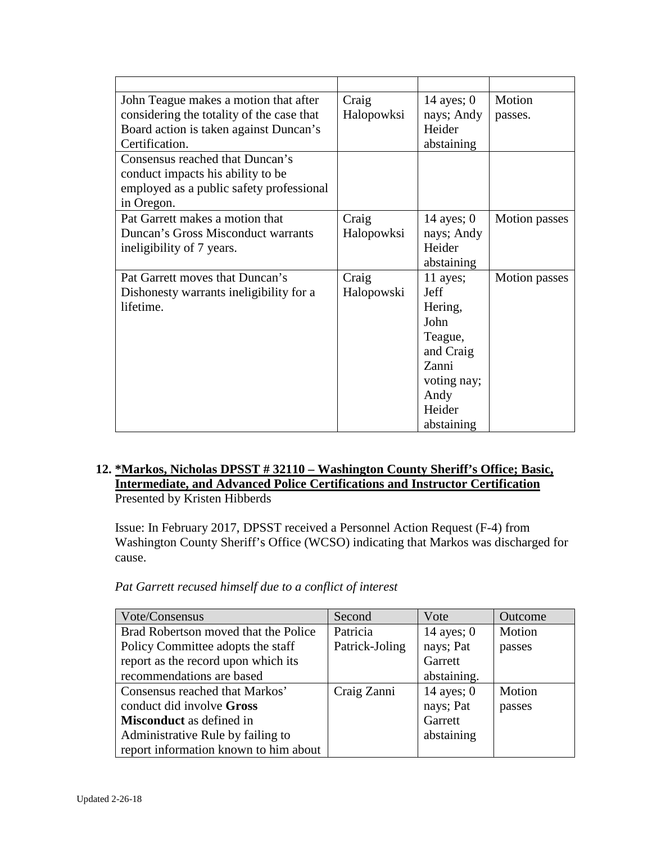| John Teague makes a motion that after     | Craig      | 14 ayes; $0$ | Motion               |
|-------------------------------------------|------------|--------------|----------------------|
| considering the totality of the case that | Halopowksi | nays; Andy   | passes.              |
| Board action is taken against Duncan's    |            | Heider       |                      |
| Certification.                            |            | abstaining   |                      |
| Consensus reached that Duncan's           |            |              |                      |
| conduct impacts his ability to be         |            |              |                      |
| employed as a public safety professional  |            |              |                      |
| in Oregon.                                |            |              |                      |
| Pat Garrett makes a motion that           | Craig      | 14 ayes; $0$ | <b>Motion</b> passes |
| Duncan's Gross Misconduct warrants        | Halopowksi | nays; Andy   |                      |
| ineligibility of 7 years.                 |            | Heider       |                      |
|                                           |            | abstaining   |                      |
| Pat Garrett moves that Duncan's           | Craig      | 11 ayes;     | Motion passes        |
| Dishonesty warrants ineligibility for a   | Halopowski | Jeff         |                      |
| lifetime.                                 |            | Hering,      |                      |
|                                           |            | John         |                      |
|                                           |            | Teague,      |                      |
|                                           |            | and Craig    |                      |
|                                           |            | Zanni        |                      |
|                                           |            | voting nay;  |                      |
|                                           |            | Andy         |                      |
|                                           |            | Heider       |                      |
|                                           |            | abstaining   |                      |

## **12. \*Markos, Nicholas DPSST # 32110 – Washington County Sheriff's Office; Basic, Intermediate, and Advanced Police Certifications and Instructor Certification** Presented by Kristen Hibberds

Issue: In February 2017, DPSST received a Personnel Action Request (F-4) from Washington County Sheriff's Office (WCSO) indicating that Markos was discharged for cause.

| Vote/Consensus                        | Second         | Vote         | Outcome |
|---------------------------------------|----------------|--------------|---------|
| Brad Robertson moved that the Police  | Patricia       | 14 ayes; $0$ | Motion  |
| Policy Committee adopts the staff     | Patrick-Joling | nays; Pat    | passes  |
| report as the record upon which its   |                | Garrett      |         |
| recommendations are based             |                | abstaining.  |         |
| Consensus reached that Markos'        | Craig Zanni    | 14 ayes; $0$ | Motion  |
| conduct did involve Gross             |                | nays; Pat    | passes  |
| <b>Misconduct</b> as defined in       |                | Garrett      |         |
| Administrative Rule by failing to     |                | abstaining   |         |
| report information known to him about |                |              |         |

*Pat Garrett recused himself due to a conflict of interest*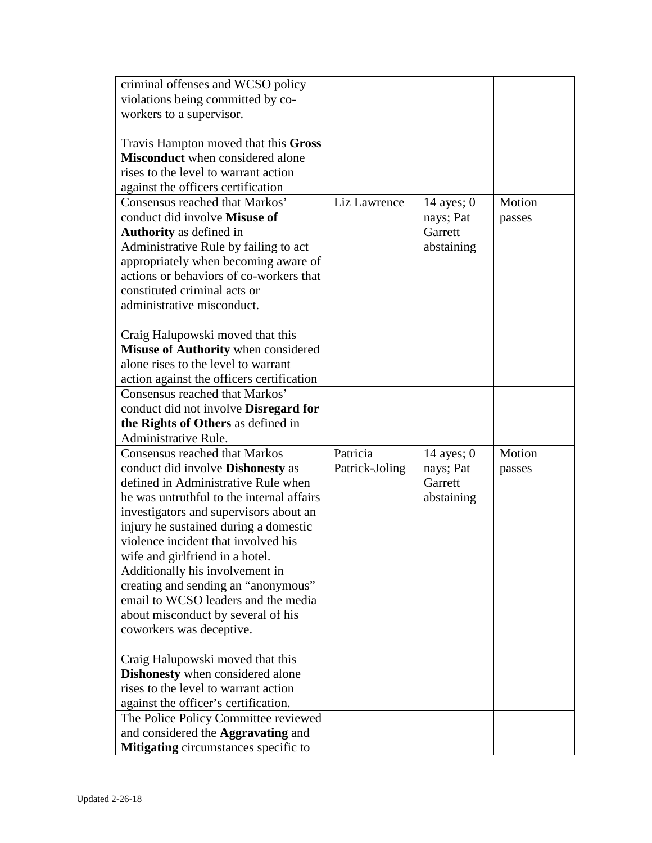| criminal offenses and WCSO policy         |                |              |        |
|-------------------------------------------|----------------|--------------|--------|
| violations being committed by co-         |                |              |        |
| workers to a supervisor.                  |                |              |        |
|                                           |                |              |        |
| Travis Hampton moved that this Gross      |                |              |        |
| <b>Misconduct</b> when considered alone   |                |              |        |
| rises to the level to warrant action      |                |              |        |
| against the officers certification        |                |              |        |
| Consensus reached that Markos'            | Liz Lawrence   | 14 ayes; $0$ | Motion |
| conduct did involve Misuse of             |                | nays; Pat    | passes |
| <b>Authority</b> as defined in            |                | Garrett      |        |
| Administrative Rule by failing to act     |                | abstaining   |        |
| appropriately when becoming aware of      |                |              |        |
| actions or behaviors of co-workers that   |                |              |        |
| constituted criminal acts or              |                |              |        |
| administrative misconduct.                |                |              |        |
|                                           |                |              |        |
| Craig Halupowski moved that this          |                |              |        |
| Misuse of Authority when considered       |                |              |        |
| alone rises to the level to warrant       |                |              |        |
| action against the officers certification |                |              |        |
| Consensus reached that Markos'            |                |              |        |
| conduct did not involve Disregard for     |                |              |        |
| the Rights of Others as defined in        |                |              |        |
| <b>Administrative Rule.</b>               |                |              |        |
| <b>Consensus reached that Markos</b>      | Patricia       | 14 ayes; $0$ | Motion |
| conduct did involve <b>Dishonesty</b> as  | Patrick-Joling | nays; Pat    | passes |
| defined in Administrative Rule when       |                | Garrett      |        |
| he was untruthful to the internal affairs |                | abstaining   |        |
| investigators and supervisors about an    |                |              |        |
| injury he sustained during a domestic     |                |              |        |
| violence incident that involved his       |                |              |        |
| wife and girlfriend in a hotel.           |                |              |        |
| Additionally his involvement in           |                |              |        |
| creating and sending an "anonymous"       |                |              |        |
| email to WCSO leaders and the media       |                |              |        |
| about misconduct by several of his        |                |              |        |
| coworkers was deceptive.                  |                |              |        |
|                                           |                |              |        |
| Craig Halupowski moved that this          |                |              |        |
| <b>Dishonesty</b> when considered alone   |                |              |        |
| rises to the level to warrant action      |                |              |        |
| against the officer's certification.      |                |              |        |
| The Police Policy Committee reviewed      |                |              |        |
| and considered the <b>Aggravating</b> and |                |              |        |
| Mitigating circumstances specific to      |                |              |        |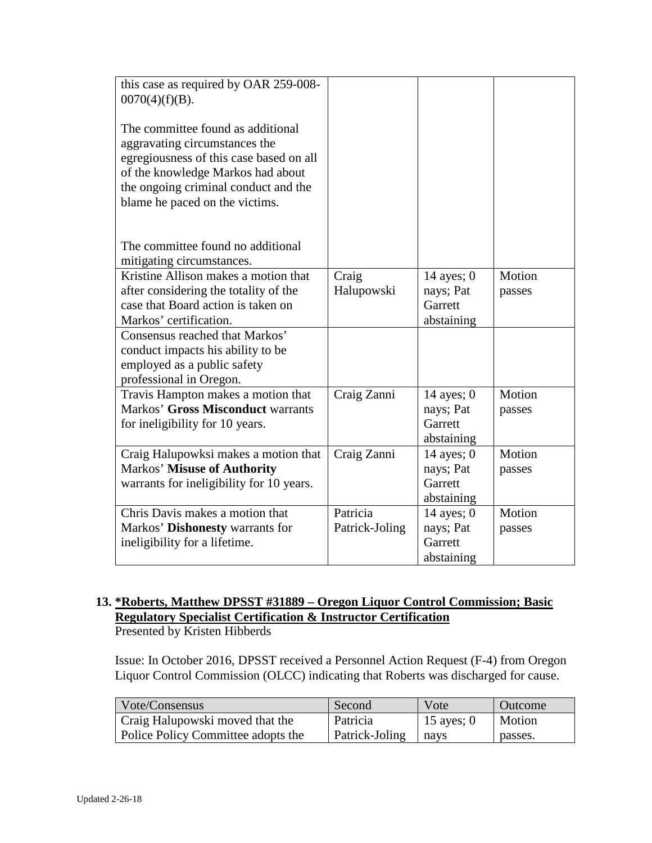| this case as required by OAR 259-008-<br>$0070(4)(f)(B)$ .<br>The committee found as additional<br>aggravating circumstances the<br>egregiousness of this case based on all<br>of the knowledge Markos had about<br>the ongoing criminal conduct and the<br>blame he paced on the victims. |                            |                                                    |                  |
|--------------------------------------------------------------------------------------------------------------------------------------------------------------------------------------------------------------------------------------------------------------------------------------------|----------------------------|----------------------------------------------------|------------------|
| The committee found no additional<br>mitigating circumstances.                                                                                                                                                                                                                             |                            |                                                    |                  |
| Kristine Allison makes a motion that<br>after considering the totality of the<br>case that Board action is taken on                                                                                                                                                                        | Craig<br>Halupowski        | 14 ayes; $0$<br>nays; Pat<br>Garrett               | Motion<br>passes |
| Markos' certification.<br>Consensus reached that Markos'<br>conduct impacts his ability to be<br>employed as a public safety<br>professional in Oregon.                                                                                                                                    |                            | abstaining                                         |                  |
| Travis Hampton makes a motion that<br>Markos' Gross Misconduct warrants<br>for ineligibility for 10 years.                                                                                                                                                                                 | Craig Zanni                | 14 ayes; $0$<br>nays; Pat<br>Garrett<br>abstaining | Motion<br>passes |
| Craig Halupowksi makes a motion that<br><b>Markos' Misuse of Authority</b><br>warrants for ineligibility for 10 years.                                                                                                                                                                     | Craig Zanni                | 14 ayes; $0$<br>nays; Pat<br>Garrett<br>abstaining | Motion<br>passes |
| Chris Davis makes a motion that<br>Markos' Dishonesty warrants for<br>ineligibility for a lifetime.                                                                                                                                                                                        | Patricia<br>Patrick-Joling | 14 ayes; $0$<br>nays; Pat<br>Garrett<br>abstaining | Motion<br>passes |

#### **13. \*Roberts, Matthew DPSST #31889 – Oregon Liquor Control Commission; Basic Regulatory Specialist Certification & Instructor Certification** Presented by Kristen Hibberds

Issue: In October 2016, DPSST received a Personnel Action Request (F-4) from Oregon Liquor Control Commission (OLCC) indicating that Roberts was discharged for cause.

| Vote/Consensus                     | Second         | Vote       | Outcome |
|------------------------------------|----------------|------------|---------|
| Craig Halupowski moved that the    | Patricia       | 15 ayes; 0 | Motion  |
| Police Policy Committee adopts the | Patrick-Joling | l navs     | passes. |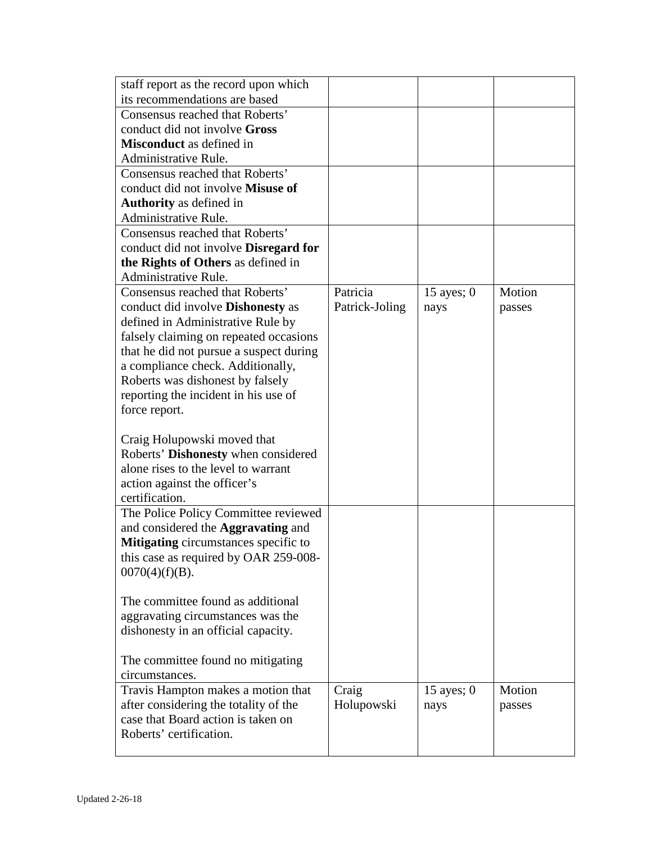| staff report as the record upon which                              |                |              |        |
|--------------------------------------------------------------------|----------------|--------------|--------|
| its recommendations are based                                      |                |              |        |
| Consensus reached that Roberts'                                    |                |              |        |
| conduct did not involve Gross                                      |                |              |        |
| <b>Misconduct</b> as defined in                                    |                |              |        |
| Administrative Rule.                                               |                |              |        |
| Consensus reached that Roberts'                                    |                |              |        |
| conduct did not involve Misuse of                                  |                |              |        |
| <b>Authority</b> as defined in                                     |                |              |        |
| Administrative Rule.                                               |                |              |        |
| Consensus reached that Roberts'                                    |                |              |        |
| conduct did not involve <b>Disregard for</b>                       |                |              |        |
| the Rights of Others as defined in                                 |                |              |        |
| Administrative Rule.                                               |                |              |        |
| Consensus reached that Roberts'                                    | Patricia       | 15 ayes; $0$ | Motion |
| conduct did involve <b>Dishonesty</b> as                           | Patrick-Joling | nays         | passes |
| defined in Administrative Rule by                                  |                |              |        |
| falsely claiming on repeated occasions                             |                |              |        |
| that he did not pursue a suspect during                            |                |              |        |
| a compliance check. Additionally,                                  |                |              |        |
| Roberts was dishonest by falsely                                   |                |              |        |
| reporting the incident in his use of                               |                |              |        |
| force report.                                                      |                |              |        |
|                                                                    |                |              |        |
| Craig Holupowski moved that<br>Roberts' Dishonesty when considered |                |              |        |
| alone rises to the level to warrant                                |                |              |        |
| action against the officer's                                       |                |              |        |
| certification.                                                     |                |              |        |
| The Police Policy Committee reviewed                               |                |              |        |
| and considered the <b>Aggravating</b> and                          |                |              |        |
| Mitigating circumstances specific to                               |                |              |        |
| this case as required by OAR 259-008-                              |                |              |        |
| $0070(4)(f)(B)$ .                                                  |                |              |        |
|                                                                    |                |              |        |
| The committee found as additional                                  |                |              |        |
| aggravating circumstances was the                                  |                |              |        |
| dishonesty in an official capacity.                                |                |              |        |
|                                                                    |                |              |        |
| The committee found no mitigating                                  |                |              |        |
| circumstances.                                                     |                |              |        |
| Travis Hampton makes a motion that                                 | Craig          | 15 ayes; $0$ | Motion |
| after considering the totality of the                              | Holupowski     | nays         | passes |
| case that Board action is taken on                                 |                |              |        |
| Roberts' certification.                                            |                |              |        |
|                                                                    |                |              |        |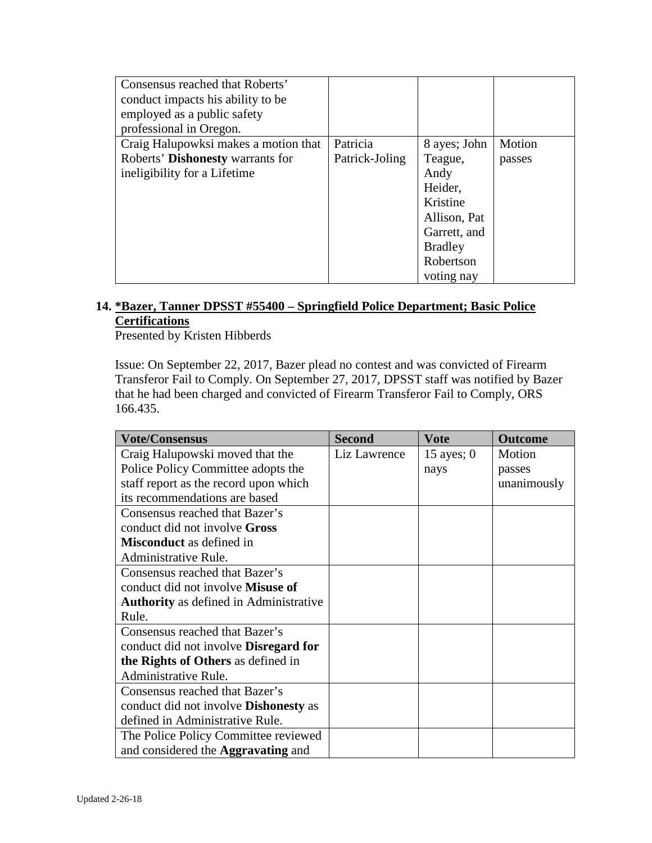| Consensus reached that Roberts'<br>conduct impacts his ability to be<br>employed as a public safety<br>professional in Oregon. |                |                |        |
|--------------------------------------------------------------------------------------------------------------------------------|----------------|----------------|--------|
| Craig Halupowksi makes a motion that                                                                                           | Patricia       | 8 ayes; John   | Motion |
| Roberts' Dishonesty warrants for                                                                                               | Patrick-Joling | Teague,        | passes |
| ineligibility for a Lifetime                                                                                                   |                | Andy           |        |
|                                                                                                                                |                | Heider,        |        |
|                                                                                                                                |                | Kristine       |        |
|                                                                                                                                |                | Allison, Pat   |        |
|                                                                                                                                |                | Garrett, and   |        |
|                                                                                                                                |                | <b>Bradley</b> |        |
|                                                                                                                                |                | Robertson      |        |
|                                                                                                                                |                | voting nay     |        |

## **14. \*Bazer, Tanner DPSST #55400 – Springfield Police Department; Basic Police Certifications**

Presented by Kristen Hibberds

Issue: On September 22, 2017, Bazer plead no contest and was convicted of Firearm Transferor Fail to Comply. On September 27, 2017, DPSST staff was notified by Bazer that he had been charged and convicted of Firearm Transferor Fail to Comply, ORS 166.435.

| <b>Vote/Consensus</b>                         | <b>Second</b> | <b>Vote</b>  | <b>Outcome</b> |
|-----------------------------------------------|---------------|--------------|----------------|
| Craig Halupowski moved that the               | Liz Lawrence  | 15 ayes; $0$ | Motion         |
| Police Policy Committee adopts the            |               | nays         | passes         |
| staff report as the record upon which         |               |              | unanimously    |
| its recommendations are based                 |               |              |                |
| Consensus reached that Bazer's                |               |              |                |
| conduct did not involve Gross                 |               |              |                |
| <b>Misconduct</b> as defined in               |               |              |                |
| Administrative Rule.                          |               |              |                |
| Consensus reached that Bazer's                |               |              |                |
| conduct did not involve <b>Misuse of</b>      |               |              |                |
| <b>Authority</b> as defined in Administrative |               |              |                |
| Rule.                                         |               |              |                |
| Consensus reached that Bazer's                |               |              |                |
| conduct did not involve <b>Disregard for</b>  |               |              |                |
| the Rights of Others as defined in            |               |              |                |
| Administrative Rule.                          |               |              |                |
| Consensus reached that Bazer's                |               |              |                |
| conduct did not involve <b>Dishonesty</b> as  |               |              |                |
| defined in Administrative Rule.               |               |              |                |
| The Police Policy Committee reviewed          |               |              |                |
| and considered the <b>Aggravating</b> and     |               |              |                |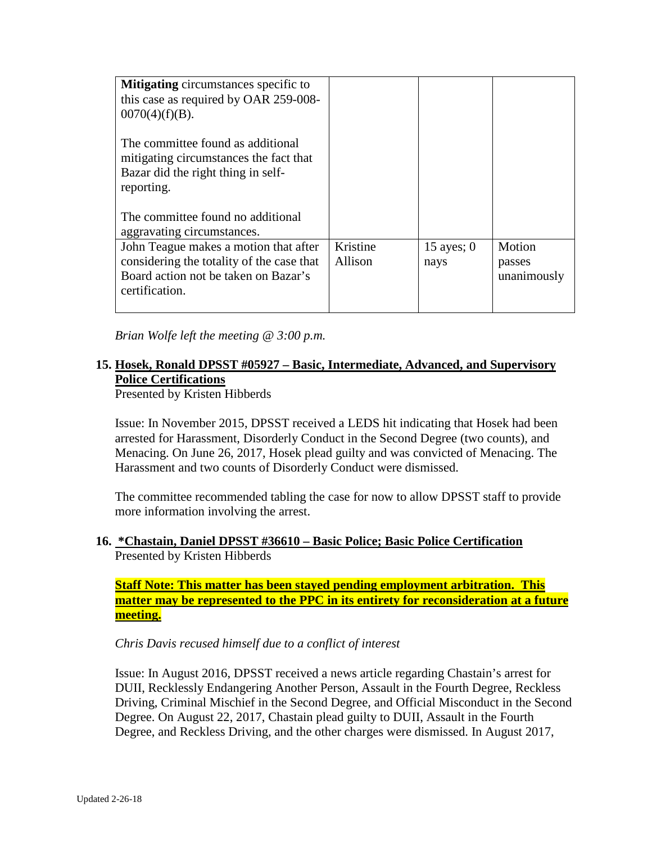| <b>Mitigating</b> circumstances specific to<br>this case as required by OAR 259-008-<br>$0070(4)(f)(B)$ .                                    |                     |                      |                                 |
|----------------------------------------------------------------------------------------------------------------------------------------------|---------------------|----------------------|---------------------------------|
| The committee found as additional<br>mitigating circumstances the fact that<br>Bazar did the right thing in self-<br>reporting.              |                     |                      |                                 |
| The committee found no additional<br>aggravating circumstances.                                                                              |                     |                      |                                 |
| John Teague makes a motion that after<br>considering the totality of the case that<br>Board action not be taken on Bazar's<br>certification. | Kristine<br>Allison | 15 ayes; $0$<br>nays | Motion<br>passes<br>unanimously |

*Brian Wolfe left the meeting @ 3:00 p.m.* 

# **15. Hosek, Ronald DPSST #05927 – Basic, Intermediate, Advanced, and Supervisory Police Certifications**

Presented by Kristen Hibberds

Issue: In November 2015, DPSST received a LEDS hit indicating that Hosek had been arrested for Harassment, Disorderly Conduct in the Second Degree (two counts), and Menacing. On June 26, 2017, Hosek plead guilty and was convicted of Menacing. The Harassment and two counts of Disorderly Conduct were dismissed.

The committee recommended tabling the case for now to allow DPSST staff to provide more information involving the arrest.

#### **16. \*Chastain, Daniel DPSST #36610 – Basic Police; Basic Police Certification** Presented by Kristen Hibberds

**Staff Note: This matter has been stayed pending employment arbitration. This matter may be represented to the PPC in its entirety for reconsideration at a future meeting.**

#### *Chris Davis recused himself due to a conflict of interest*

Issue: In August 2016, DPSST received a news article regarding Chastain's arrest for DUII, Recklessly Endangering Another Person, Assault in the Fourth Degree, Reckless Driving, Criminal Mischief in the Second Degree, and Official Misconduct in the Second Degree. On August 22, 2017, Chastain plead guilty to DUII, Assault in the Fourth Degree, and Reckless Driving, and the other charges were dismissed. In August 2017,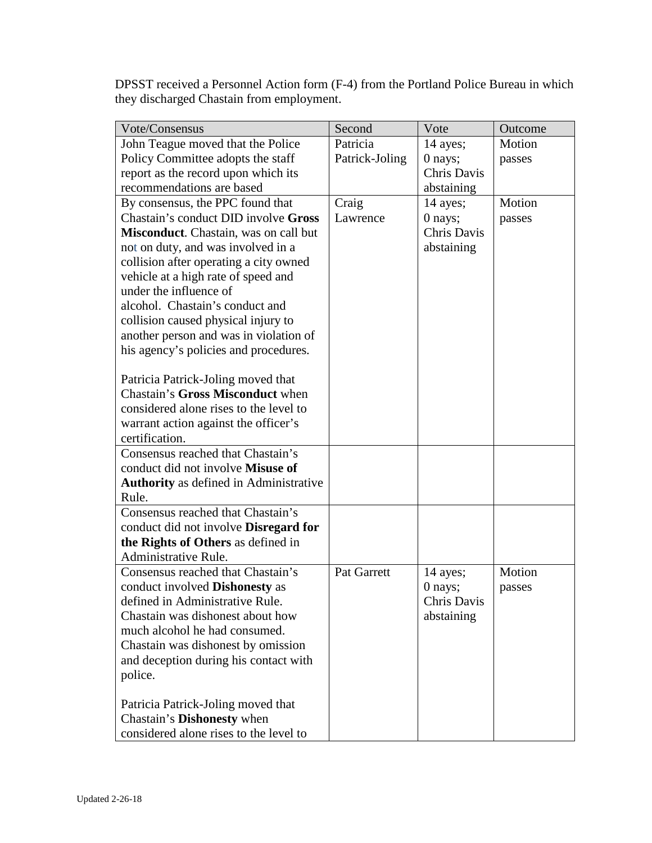DPSST received a Personnel Action form (F-4) from the Portland Police Bureau in which they discharged Chastain from employment.

| Vote/Consensus                                             | Second         | Vote        | Outcome |
|------------------------------------------------------------|----------------|-------------|---------|
| John Teague moved that the Police                          | Patricia       | 14 ayes;    | Motion  |
| Policy Committee adopts the staff                          | Patrick-Joling | 0 nays;     | passes  |
| report as the record upon which its                        |                | Chris Davis |         |
| recommendations are based                                  |                | abstaining  |         |
| By consensus, the PPC found that                           | Craig          | 14 ayes;    | Motion  |
| Chastain's conduct DID involve Gross                       | Lawrence       | 0 nays;     | passes  |
| Misconduct. Chastain, was on call but                      |                | Chris Davis |         |
| not on duty, and was involved in a                         |                | abstaining  |         |
| collision after operating a city owned                     |                |             |         |
| vehicle at a high rate of speed and                        |                |             |         |
| under the influence of                                     |                |             |         |
| alcohol. Chastain's conduct and                            |                |             |         |
| collision caused physical injury to                        |                |             |         |
| another person and was in violation of                     |                |             |         |
| his agency's policies and procedures.                      |                |             |         |
|                                                            |                |             |         |
| Patricia Patrick-Joling moved that                         |                |             |         |
| <b>Chastain's Gross Misconduct when</b>                    |                |             |         |
| considered alone rises to the level to                     |                |             |         |
| warrant action against the officer's                       |                |             |         |
| certification.                                             |                |             |         |
| Consensus reached that Chastain's                          |                |             |         |
| conduct did not involve Misuse of                          |                |             |         |
| Authority as defined in Administrative                     |                |             |         |
| Rule.                                                      |                |             |         |
| Consensus reached that Chastain's                          |                |             |         |
| conduct did not involve Disregard for                      |                |             |         |
| the Rights of Others as defined in<br>Administrative Rule. |                |             |         |
| Consensus reached that Chastain's                          | Pat Garrett    | 14 ayes;    | Motion  |
| conduct involved <b>Dishonesty</b> as                      |                | 0 nays;     |         |
| defined in Administrative Rule.                            |                | Chris Davis | passes  |
| Chastain was dishonest about how                           |                | abstaining  |         |
| much alcohol he had consumed.                              |                |             |         |
| Chastain was dishonest by omission                         |                |             |         |
| and deception during his contact with                      |                |             |         |
| police.                                                    |                |             |         |
|                                                            |                |             |         |
| Patricia Patrick-Joling moved that                         |                |             |         |
| Chastain's Dishonesty when                                 |                |             |         |
| considered alone rises to the level to                     |                |             |         |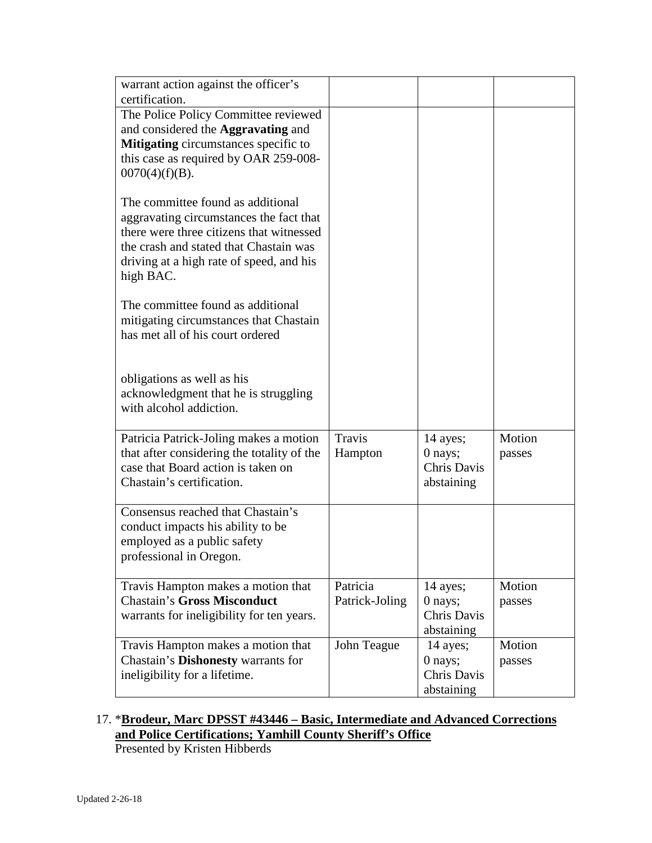| warrant action against the officer's<br>certification.                                                                                                                                                                      |                            |                                                  |                  |
|-----------------------------------------------------------------------------------------------------------------------------------------------------------------------------------------------------------------------------|----------------------------|--------------------------------------------------|------------------|
| The Police Policy Committee reviewed<br>and considered the Aggravating and<br><b>Mitigating</b> circumstances specific to<br>this case as required by OAR 259-008-<br>$0070(4)(f)(B)$ .                                     |                            |                                                  |                  |
| The committee found as additional<br>aggravating circumstances the fact that<br>there were three citizens that witnessed<br>the crash and stated that Chastain was<br>driving at a high rate of speed, and his<br>high BAC. |                            |                                                  |                  |
| The committee found as additional<br>mitigating circumstances that Chastain<br>has met all of his court ordered                                                                                                             |                            |                                                  |                  |
| obligations as well as his<br>acknowledgment that he is struggling<br>with alcohol addiction.                                                                                                                               |                            |                                                  |                  |
| Patricia Patrick-Joling makes a motion<br>that after considering the totality of the<br>case that Board action is taken on<br>Chastain's certification.                                                                     | <b>Travis</b><br>Hampton   | 14 ayes;<br>0 nays;<br>Chris Davis<br>abstaining | Motion<br>passes |
| Consensus reached that Chastain's<br>conduct impacts his ability to be<br>employed as a public safety<br>professional in Oregon.                                                                                            |                            |                                                  |                  |
| Travis Hampton makes a motion that<br><b>Chastain's Gross Misconduct</b><br>warrants for ineligibility for ten years.                                                                                                       | Patricia<br>Patrick-Joling | 14 ayes;<br>0 nays;<br>Chris Davis<br>abstaining | Motion<br>passes |
| Travis Hampton makes a motion that<br>Chastain's Dishonesty warrants for<br>ineligibility for a lifetime.                                                                                                                   | John Teague                | 14 ayes;<br>0 nays;<br>Chris Davis<br>abstaining | Motion<br>passes |

# 17. \***Brodeur, Marc DPSST #43446 – Basic, Intermediate and Advanced Corrections and Police Certifications; Yamhill County Sheriff's Office**

Presented by Kristen Hibberds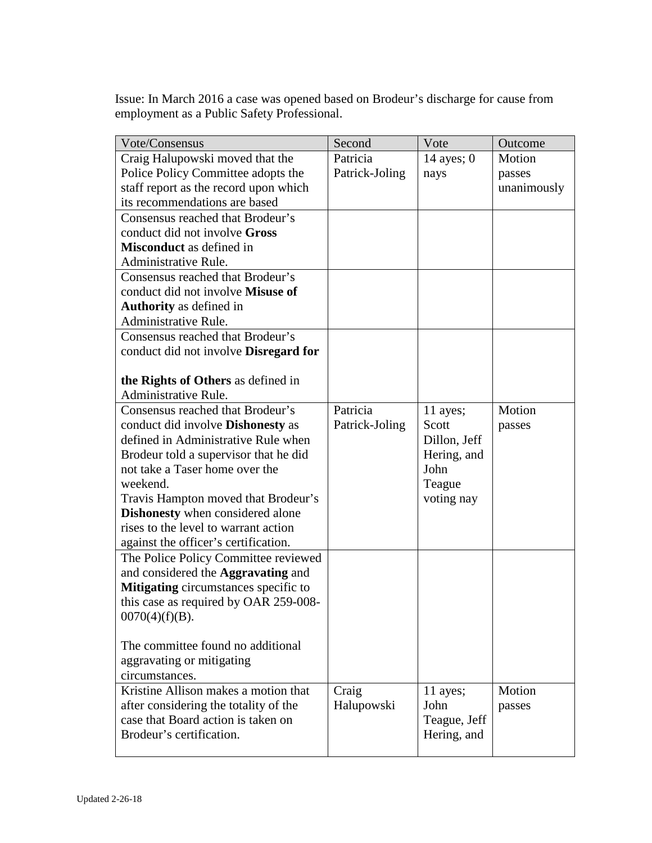Issue: In March 2016 a case was opened based on Brodeur's discharge for cause from employment as a Public Safety Professional.

| Vote/Consensus                                             | Second         | Vote         | Outcome     |
|------------------------------------------------------------|----------------|--------------|-------------|
| Craig Halupowski moved that the                            | Patricia       | 14 ayes; $0$ | Motion      |
| Police Policy Committee adopts the                         | Patrick-Joling | nays         | passes      |
| staff report as the record upon which                      |                |              | unanimously |
| its recommendations are based                              |                |              |             |
| Consensus reached that Brodeur's                           |                |              |             |
| conduct did not involve Gross                              |                |              |             |
| <b>Misconduct</b> as defined in                            |                |              |             |
| Administrative Rule.                                       |                |              |             |
| Consensus reached that Brodeur's                           |                |              |             |
| conduct did not involve Misuse of                          |                |              |             |
| <b>Authority</b> as defined in                             |                |              |             |
| Administrative Rule.                                       |                |              |             |
| Consensus reached that Brodeur's                           |                |              |             |
| conduct did not involve Disregard for                      |                |              |             |
|                                                            |                |              |             |
| the Rights of Others as defined in                         |                |              |             |
| Administrative Rule.                                       |                |              |             |
| Consensus reached that Brodeur's                           | Patricia       | 11 ayes;     | Motion      |
| conduct did involve <b>Dishonesty</b> as                   | Patrick-Joling | Scott        | passes      |
| defined in Administrative Rule when                        |                | Dillon, Jeff |             |
| Brodeur told a supervisor that he did                      |                | Hering, and  |             |
| not take a Taser home over the                             |                | John         |             |
| weekend.                                                   |                | Teague       |             |
| Travis Hampton moved that Brodeur's                        |                | voting nay   |             |
| <b>Dishonesty</b> when considered alone                    |                |              |             |
| rises to the level to warrant action                       |                |              |             |
| against the officer's certification.                       |                |              |             |
| The Police Policy Committee reviewed                       |                |              |             |
| and considered the <b>Aggravating</b> and                  |                |              |             |
| Mitigating circumstances specific to                       |                |              |             |
| this case as required by OAR 259-008-<br>$0070(4)(f)(B)$ . |                |              |             |
|                                                            |                |              |             |
| The committee found no additional                          |                |              |             |
| aggravating or mitigating                                  |                |              |             |
| circumstances.                                             |                |              |             |
| Kristine Allison makes a motion that                       | Craig          | 11 ayes;     | Motion      |
| after considering the totality of the                      | Halupowski     | John         | passes      |
| case that Board action is taken on                         |                | Teague, Jeff |             |
| Brodeur's certification.                                   |                | Hering, and  |             |
|                                                            |                |              |             |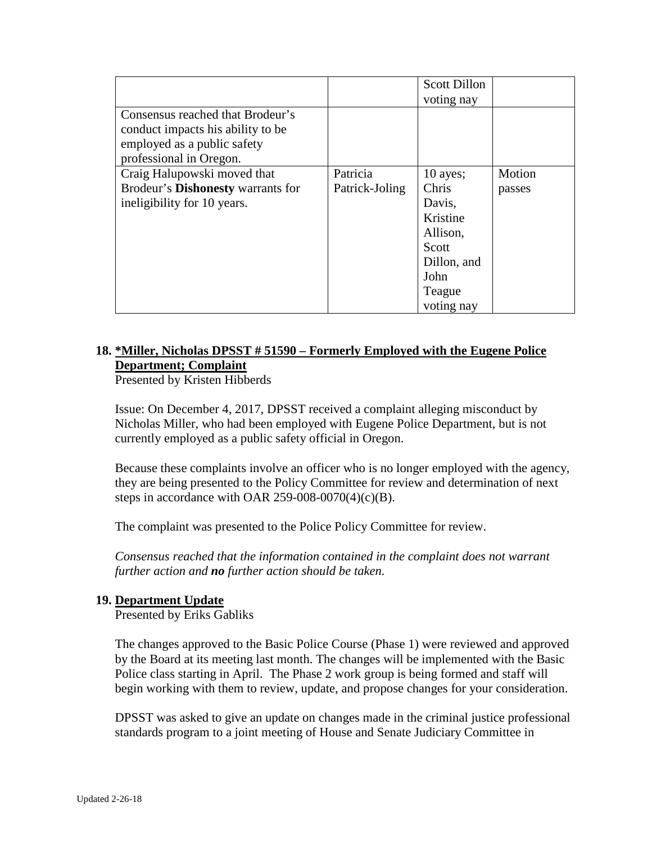|                                          |                | <b>Scott Dillon</b> |        |
|------------------------------------------|----------------|---------------------|--------|
|                                          |                | voting nay          |        |
| Consensus reached that Brodeur's         |                |                     |        |
| conduct impacts his ability to be        |                |                     |        |
| employed as a public safety              |                |                     |        |
| professional in Oregon.                  |                |                     |        |
| Craig Halupowski moved that              | Patricia       | $10$ ayes;          | Motion |
| Brodeur's <b>Dishonesty</b> warrants for | Patrick-Joling | Chris               | passes |
| ineligibility for 10 years.              |                | Davis,              |        |
|                                          |                | Kristine            |        |
|                                          |                | Allison,            |        |
|                                          |                | Scott               |        |
|                                          |                | Dillon, and         |        |
|                                          |                | John                |        |
|                                          |                | Teague              |        |
|                                          |                | voting nay          |        |

# **18. \*Miller, Nicholas DPSST # 51590 – Formerly Employed with the Eugene Police Department; Complaint**

Presented by Kristen Hibberds

Issue: On December 4, 2017, DPSST received a complaint alleging misconduct by Nicholas Miller, who had been employed with Eugene Police Department, but is not currently employed as a public safety official in Oregon.

Because these complaints involve an officer who is no longer employed with the agency, they are being presented to the Policy Committee for review and determination of next steps in accordance with OAR 259-008-0070(4) $(c)$ (B).

The complaint was presented to the Police Policy Committee for review.

*Consensus reached that the information contained in the complaint does not warrant further action and no further action should be taken.* 

## **19. Department Update**

Presented by Eriks Gabliks

The changes approved to the Basic Police Course (Phase 1) were reviewed and approved by the Board at its meeting last month. The changes will be implemented with the Basic Police class starting in April. The Phase 2 work group is being formed and staff will begin working with them to review, update, and propose changes for your consideration.

DPSST was asked to give an update on changes made in the criminal justice professional standards program to a joint meeting of House and Senate Judiciary Committee in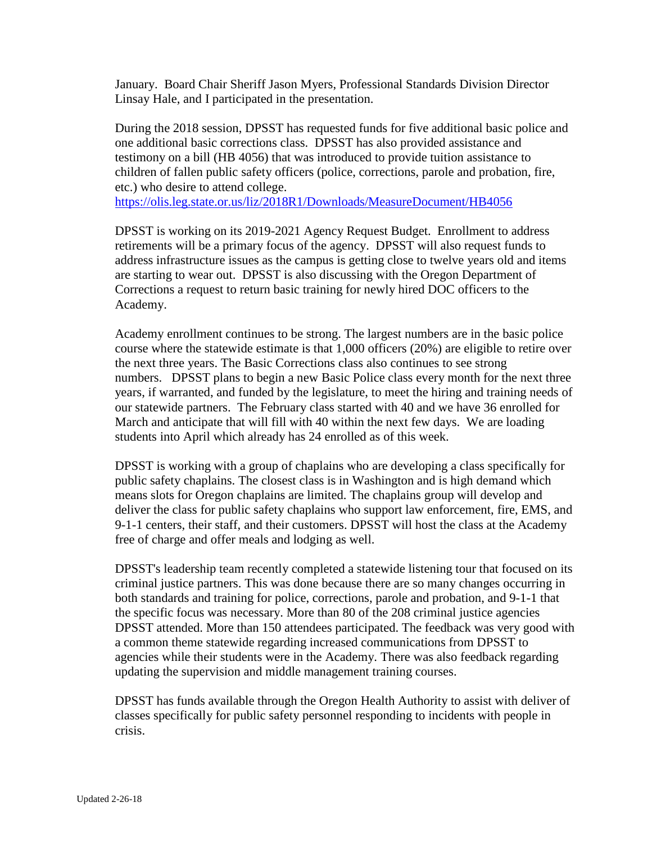January. Board Chair Sheriff Jason Myers, Professional Standards Division Director Linsay Hale, and I participated in the presentation.

During the 2018 session, DPSST has requested funds for five additional basic police and one additional basic corrections class. DPSST has also provided assistance and testimony on a bill (HB 4056) that was introduced to provide tuition assistance to children of fallen public safety officers (police, corrections, parole and probation, fire, etc.) who desire to attend college.

<https://olis.leg.state.or.us/liz/2018R1/Downloads/MeasureDocument/HB4056>

DPSST is working on its 2019-2021 Agency Request Budget. Enrollment to address retirements will be a primary focus of the agency. DPSST will also request funds to address infrastructure issues as the campus is getting close to twelve years old and items are starting to wear out. DPSST is also discussing with the Oregon Department of Corrections a request to return basic training for newly hired DOC officers to the Academy.

Academy enrollment continues to be strong. The largest numbers are in the basic police course where the statewide estimate is that 1,000 officers (20%) are eligible to retire over the next three years. The Basic Corrections class also continues to see strong numbers. DPSST plans to begin a new Basic Police class every month for the next three years, if warranted, and funded by the legislature, to meet the hiring and training needs of our statewide partners. The February class started with 40 and we have 36 enrolled for March and anticipate that will fill with 40 within the next few days. We are loading students into April which already has 24 enrolled as of this week.

DPSST is working with a group of chaplains who are developing a class specifically for public safety chaplains. The closest class is in Washington and is high demand which means slots for Oregon chaplains are limited. The chaplains group will develop and deliver the class for public safety chaplains who support law enforcement, fire, EMS, and 9-1-1 centers, their staff, and their customers. DPSST will host the class at the Academy free of charge and offer meals and lodging as well.

DPSST's leadership team recently completed a statewide listening tour that focused on its criminal justice partners. This was done because there are so many changes occurring in both standards and training for police, corrections, parole and probation, and 9-1-1 that the specific focus was necessary. More than 80 of the 208 criminal justice agencies DPSST attended. More than 150 attendees participated. The feedback was very good with a common theme statewide regarding increased communications from DPSST to agencies while their students were in the Academy. There was also feedback regarding updating the supervision and middle management training courses.

DPSST has funds available through the Oregon Health Authority to assist with deliver of classes specifically for public safety personnel responding to incidents with people in crisis.